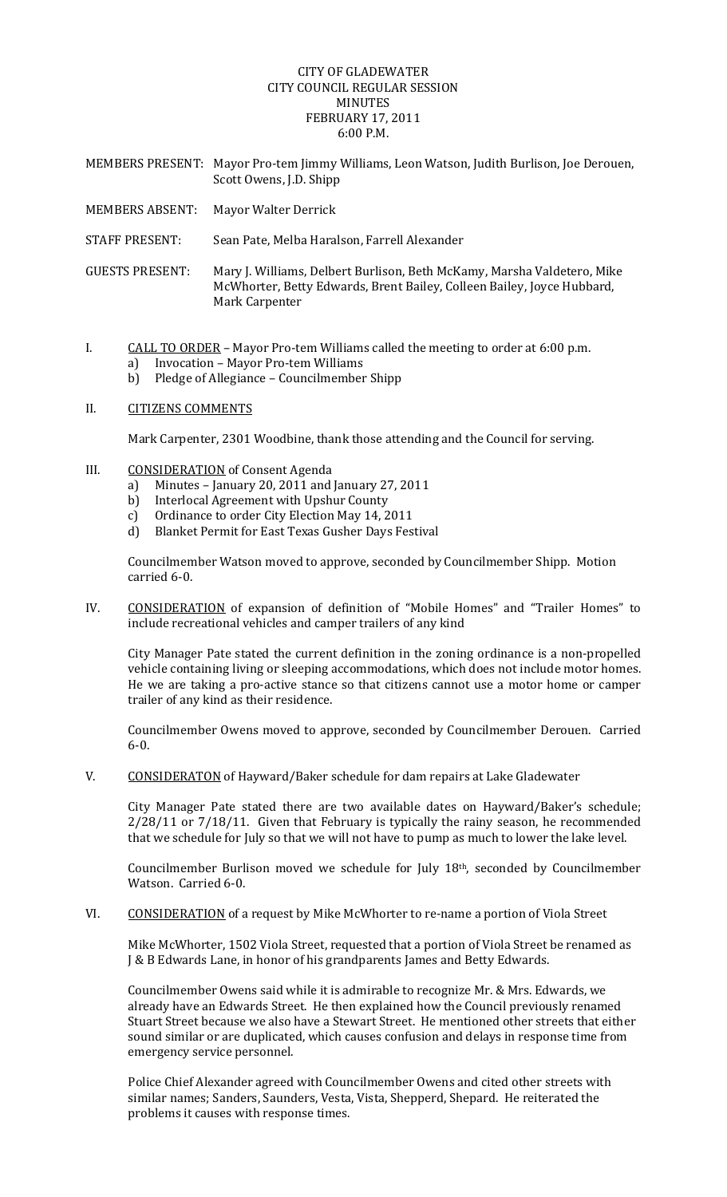## CITY OF GLADEWATER CITY COUNCIL REGULAR SESSION MINUTES FEBRUARY 17, 2011 6:00 P.M.

- MEMBERS PRESENT: Mayor Pro‐tem Jimmy Williams, Leon Watson, Judith Burlison, Joe Derouen, Scott Owens, J.D. Shipp MEMBERS ABSENT: Mayor Walter Derrick STAFF PRESENT: Sean Pate, Melba Haralson, Farrell Alexander GUESTS PRESENT: Mary J. Williams, Delbert Burlison, Beth McKamy, Marsha Valdetero, Mike McWhorter, Betty Edwards, Brent Bailey, Colleen Bailey, Joyce Hubbard,
- I. CALL TO ORDER Mayor Pro-tem Williams called the meeting to order at 6:00 p.m.
	- a) Invocation Mayor Pro‐tem Williams
	- b) Pledge of Allegiance Councilmember Shipp

Mark Carpenter

II. CITIZENS COMMENTS

Mark Carpenter, 2301 Woodbine, thank those attending and the Council for serving.

- III. CONSIDERATION of Consent Agenda
	- a) Minutes January 20, 2011 and January 27, 2011
	- b) Interlocal Agreement with Upshur County
	- c) Ordinance to order City Election May 14, 2011
	- d) Blanket Permit for East Texas Gusher Days Festival

Councilmember Watson moved to approve, seconded by Councilmember Shipp. Motion carried 6‐0.

IV. CONSIDERATION of expansion of definition of "Mobile Homes" and "Trailer Homes" to include recreational vehicles and camper trailers of any kind

City Manager Pate stated the current definition in the zoning ordinance is a non‐propelled vehicle containing living or sleeping accommodations, which does not include motor homes. He we are taking a pro-active stance so that citizens cannot use a motor home or camper trailer of any kind as their residence.

Councilmember Owens moved to approve, seconded by Councilmember Derouen. Carried 6‐0.

V. CONSIDERATON of Hayward/Baker schedule for dam repairs at Lake Gladewater

City Manager Pate stated there are two available dates on Hayward/Baker's schedule; 2/28/11 or 7/18/11. Given that February is typically the rainy season, he recommended that we schedule for July so that we will not have to pump as much to lower the lake level.

Councilmember Burlison moved we schedule for July 18th, seconded by Councilmember Watson. Carried 6‐0.

VI. CONSIDERATION of a request by Mike McWhorter to re-name a portion of Viola Street

Mike McWhorter, 1502 Viola Street, requested that a portion of Viola Street be renamed as J & B Edwards Lane, in honor of his grandparents James and Betty Edwards.

Councilmember Owens said while it is admirable to recognize Mr. & Mrs. Edwards, we already have an Edwards Street. He then explained how the Council previously renamed Stuart Street because we also have a Stewart Street. He mentioned other streets that either sound similar or are duplicated, which causes confusion and delays in response time from emergency service personnel.

Police Chief Alexander agreed with Councilmember Owens and cited other streets with similar names; Sanders, Saunders, Vesta, Vista, Shepperd, Shepard. He reiterated the problems it causes with response times.